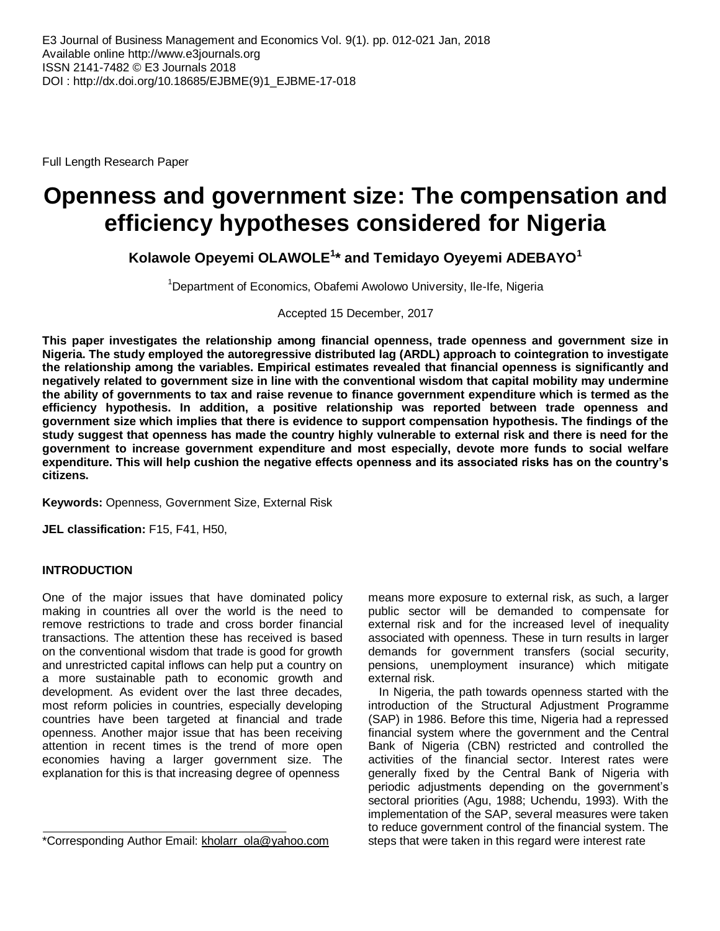Full Length Research Paper

# **Openness and government size: The compensation and efficiency hypotheses considered for Nigeria**

**Kolawole Opeyemi OLAWOLE<sup>1</sup> \* and Temidayo Oyeyemi ADEBAYO<sup>1</sup>**

<sup>1</sup>Department of Economics, Obafemi Awolowo University, Ile-Ife, Nigeria

Accepted 15 December, 2017

**This paper investigates the relationship among financial openness, trade openness and government size in Nigeria. The study employed the autoregressive distributed lag (ARDL) approach to cointegration to investigate the relationship among the variables. Empirical estimates revealed that financial openness is significantly and negatively related to government size in line with the conventional wisdom that capital mobility may undermine the ability of governments to tax and raise revenue to finance government expenditure which is termed as the efficiency hypothesis. In addition, a positive relationship was reported between trade openness and government size which implies that there is evidence to support compensation hypothesis. The findings of the study suggest that openness has made the country highly vulnerable to external risk and there is need for the government to increase government expenditure and most especially, devote more funds to social welfare expenditure. This will help cushion the negative effects openness and its associated risks has on the country's citizens.** 

**Keywords:** Openness, Government Size, External Risk

**JEL classification:** F15, F41, H50,

# **INTRODUCTION**

One of the major issues that have dominated policy making in countries all over the world is the need to remove restrictions to trade and cross border financial transactions. The attention these has received is based on the conventional wisdom that trade is good for growth and unrestricted capital inflows can help put a country on a more sustainable path to economic growth and development. As evident over the last three decades, most reform policies in countries, especially developing countries have been targeted at financial and trade openness. Another major issue that has been receiving attention in recent times is the trend of more open economies having a larger government size. The explanation for this is that increasing degree of openness

\*Corresponding Author Email: [kholarr\\_ola@yahoo.com](mailto:kholarr_ola@yahoo.com)

means more exposure to external risk, as such, a larger public sector will be demanded to compensate for external risk and for the increased level of inequality associated with openness. These in turn results in larger demands for government transfers (social security, pensions, unemployment insurance) which mitigate external risk.

In Nigeria, the path towards openness started with the introduction of the Structural Adjustment Programme (SAP) in 1986. Before this time, Nigeria had a repressed financial system where the government and the Central Bank of Nigeria (CBN) restricted and controlled the activities of the financial sector. Interest rates were generally fixed by the Central Bank of Nigeria with periodic adjustments depending on the government's sectoral priorities (Agu, 1988; Uchendu, 1993). With the implementation of the SAP, several measures were taken to reduce government control of the financial system. The steps that were taken in this regard were interest rate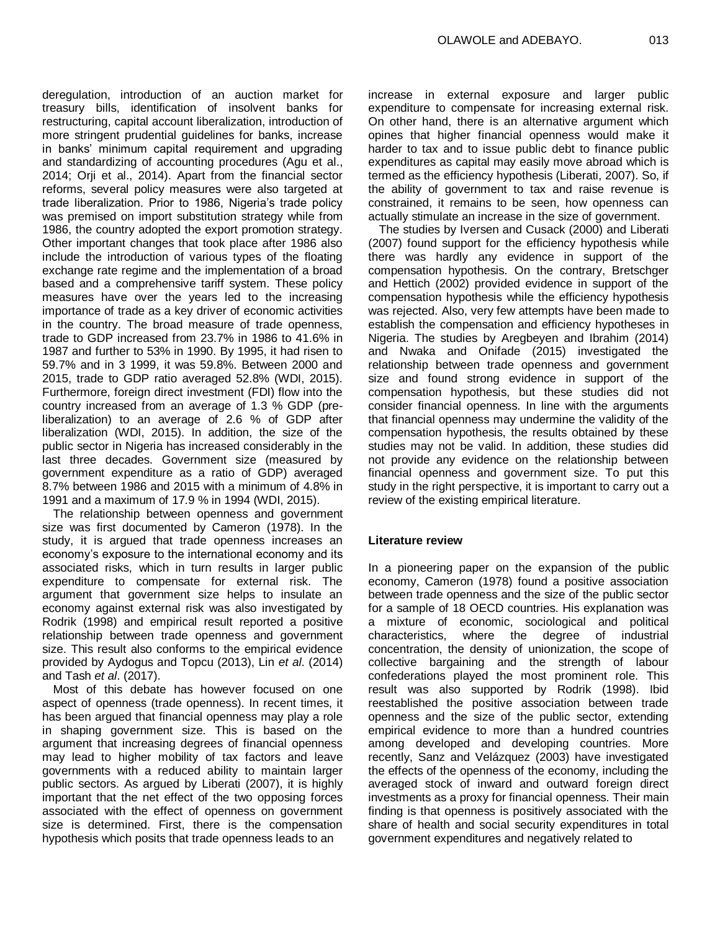deregulation, introduction of an auction market for treasury bills, identification of insolvent banks for restructuring, capital account liberalization, introduction of more stringent prudential guidelines for banks, increase in banks' minimum capital requirement and upgrading and standardizing of accounting procedures (Agu et al., 2014; Orji et al., 2014). Apart from the financial sector reforms, several policy measures were also targeted at trade liberalization. Prior to 1986, Nigeria's trade policy was premised on import substitution strategy while from 1986, the country adopted the export promotion strategy. Other important changes that took place after 1986 also include the introduction of various types of the floating exchange rate regime and the implementation of a broad based and a comprehensive tariff system. These policy measures have over the years led to the increasing importance of trade as a key driver of economic activities in the country. The broad measure of trade openness, trade to GDP increased from 23.7% in 1986 to 41.6% in 1987 and further to 53% in 1990. By 1995, it had risen to 59.7% and in 3 1999, it was 59.8%. Between 2000 and 2015, trade to GDP ratio averaged 52.8% (WDI, 2015). Furthermore, foreign direct investment (FDI) flow into the country increased from an average of 1.3 % GDP (preliberalization) to an average of 2.6 % of GDP after liberalization (WDI, 2015). In addition, the size of the public sector in Nigeria has increased considerably in the last three decades. Government size (measured by government expenditure as a ratio of GDP) averaged 8.7% between 1986 and 2015 with a minimum of 4.8% in 1991 and a maximum of 17.9 % in 1994 (WDI, 2015).

The relationship between openness and government size was first documented by Cameron (1978). In the study, it is argued that trade openness increases an economy's exposure to the international economy and its associated risks, which in turn results in larger public expenditure to compensate for external risk. The argument that government size helps to insulate an economy against external risk was also investigated by Rodrik (1998) and empirical result reported a positive relationship between trade openness and government size. This result also conforms to the empirical evidence provided by Aydogus and Topcu (2013), Lin *et al*. (2014) and Tash *et al*. (2017).

Most of this debate has however focused on one aspect of openness (trade openness). In recent times, it has been argued that financial openness may play a role in shaping government size. This is based on the argument that increasing degrees of financial openness may lead to higher mobility of tax factors and leave governments with a reduced ability to maintain larger public sectors. As argued by Liberati (2007), it is highly important that the net effect of the two opposing forces associated with the effect of openness on government size is determined. First, there is the compensation hypothesis which posits that trade openness leads to an

increase in external exposure and larger public expenditure to compensate for increasing external risk. On other hand, there is an alternative argument which opines that higher financial openness would make it harder to tax and to issue public debt to finance public expenditures as capital may easily move abroad which is termed as the efficiency hypothesis (Liberati, 2007). So, if the ability of government to tax and raise revenue is constrained, it remains to be seen, how openness can actually stimulate an increase in the size of government.

The studies by Iversen and Cusack (2000) and Liberati (2007) found support for the efficiency hypothesis while there was hardly any evidence in support of the compensation hypothesis. On the contrary, Bretschger and Hettich (2002) provided evidence in support of the compensation hypothesis while the efficiency hypothesis was rejected. Also, very few attempts have been made to establish the compensation and efficiency hypotheses in Nigeria. The studies by Aregbeyen and Ibrahim (2014) and Nwaka and Onifade (2015) investigated the relationship between trade openness and government size and found strong evidence in support of the compensation hypothesis, but these studies did not consider financial openness. In line with the arguments that financial openness may undermine the validity of the compensation hypothesis, the results obtained by these studies may not be valid. In addition, these studies did not provide any evidence on the relationship between financial openness and government size. To put this study in the right perspective, it is important to carry out a review of the existing empirical literature.

# **Literature review**

In a pioneering paper on the expansion of the public economy, Cameron (1978) found a positive association between trade openness and the size of the public sector for a sample of 18 OECD countries. His explanation was a mixture of economic, sociological and political characteristics, where the degree of industrial concentration, the density of unionization, the scope of collective bargaining and the strength of labour confederations played the most prominent role. This result was also supported by Rodrik (1998). Ibid reestablished the positive association between trade openness and the size of the public sector, extending empirical evidence to more than a hundred countries among developed and developing countries. More recently, Sanz and Velázquez (2003) have investigated the effects of the openness of the economy, including the averaged stock of inward and outward foreign direct investments as a proxy for financial openness. Their main finding is that openness is positively associated with the share of health and social security expenditures in total government expenditures and negatively related to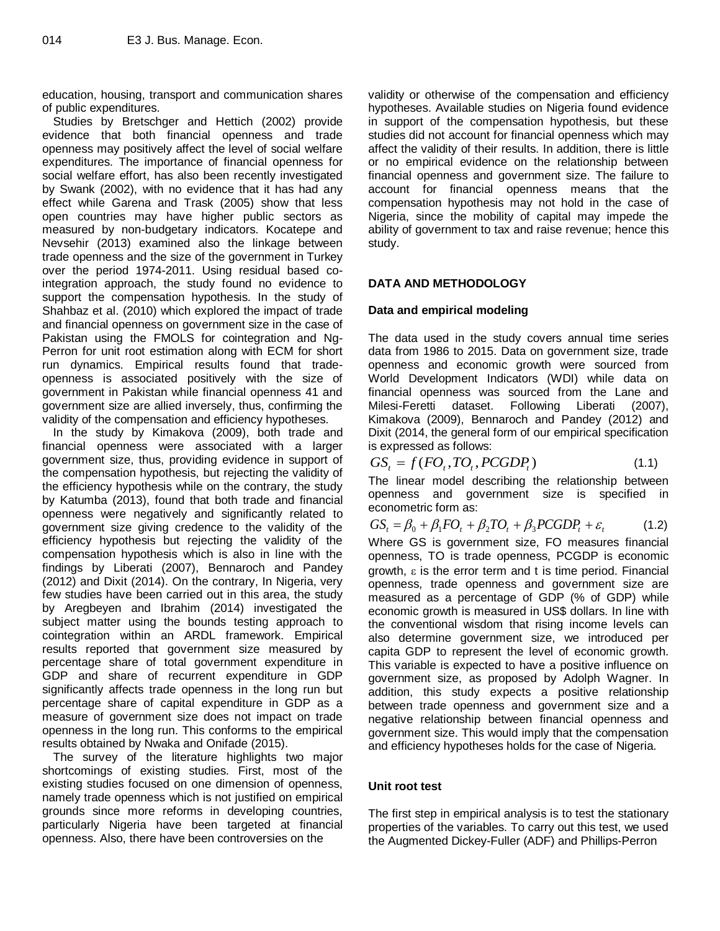education, housing, transport and communication shares of public expenditures.

Studies by Bretschger and Hettich (2002) provide evidence that both financial openness and trade openness may positively affect the level of social welfare expenditures. The importance of financial openness for social welfare effort, has also been recently investigated by Swank (2002), with no evidence that it has had any effect while Garena and Trask (2005) show that less open countries may have higher public sectors as measured by non-budgetary indicators. Kocatepe and Nevsehir (2013) examined also the linkage between trade openness and the size of the government in Turkey over the period 1974-2011. Using residual based cointegration approach, the study found no evidence to support the compensation hypothesis. In the study of Shahbaz et al. (2010) which explored the impact of trade and financial openness on government size in the case of Pakistan using the FMOLS for cointegration and Ng-Perron for unit root estimation along with ECM for short run dynamics. Empirical results found that tradeopenness is associated positively with the size of government in Pakistan while financial openness 41 and government size are allied inversely, thus, confirming the validity of the compensation and efficiency hypotheses.

In the study by Kimakova (2009), both trade and financial openness were associated with a larger government size, thus, providing evidence in support of the compensation hypothesis, but rejecting the validity of the efficiency hypothesis while on the contrary, the study by Katumba (2013), found that both trade and financial openness were negatively and significantly related to government size giving credence to the validity of the efficiency hypothesis but rejecting the validity of the compensation hypothesis which is also in line with the findings by Liberati (2007), Bennaroch and Pandey (2012) and Dixit (2014). On the contrary, In Nigeria, very few studies have been carried out in this area, the study by Aregbeyen and Ibrahim (2014) investigated the subject matter using the bounds testing approach to cointegration within an ARDL framework. Empirical results reported that government size measured by percentage share of total government expenditure in GDP and share of recurrent expenditure in GDP significantly affects trade openness in the long run but percentage share of capital expenditure in GDP as a measure of government size does not impact on trade openness in the long run. This conforms to the empirical results obtained by Nwaka and Onifade (2015).

The survey of the literature highlights two major shortcomings of existing studies. First, most of the existing studies focused on one dimension of openness, namely trade openness which is not justified on empirical grounds since more reforms in developing countries, particularly Nigeria have been targeted at financial openness. Also, there have been controversies on the

validity or otherwise of the compensation and efficiency hypotheses. Available studies on Nigeria found evidence in support of the compensation hypothesis, but these studies did not account for financial openness which may affect the validity of their results. In addition, there is little or no empirical evidence on the relationship between financial openness and government size. The failure to account for financial openness means that the compensation hypothesis may not hold in the case of Nigeria, since the mobility of capital may impede the ability of government to tax and raise revenue; hence this study.

# **DATA AND METHODOLOGY**

# **Data and empirical modeling**

The data used in the study covers annual time series data from 1986 to 2015. Data on government size, trade openness and economic growth were sourced from World Development Indicators (WDI) while data on financial openness was sourced from the Lane and Milesi-Feretti dataset. Following Liberati (2007), Kimakova (2009), Bennaroch and Pandey (2012) and Dixit (2014, the general form of our empirical specification is expressed as follows:

$$
GSt = f(FOt, TOt, PCGDPt)
$$
\n(1.1)

The linear model describing the relationship between openness and government size is specified in econometric form as:

 $GS_t = \beta_0 + \beta_1 FO_t + \beta_2 TO_t + \beta_3 PCGDP_t + \varepsilon_t$  $(1.2)$ 

Where GS is government size, FO measures financial openness, TO is trade openness, PCGDP is economic  $arowth$ ,  $\varepsilon$  is the error term and t is time period. Financial openness, trade openness and government size are measured as a percentage of GDP (% of GDP) while economic growth is measured in US\$ dollars. In line with the conventional wisdom that rising income levels can also determine government size, we introduced per capita GDP to represent the level of economic growth. This variable is expected to have a positive influence on government size, as proposed by Adolph Wagner. In addition, this study expects a positive relationship between trade openness and government size and a negative relationship between financial openness and government size. This would imply that the compensation and efficiency hypotheses holds for the case of Nigeria.

# **Unit root test**

The first step in empirical analysis is to test the stationary properties of the variables. To carry out this test, we used the Augmented Dickey-Fuller (ADF) and Phillips-Perron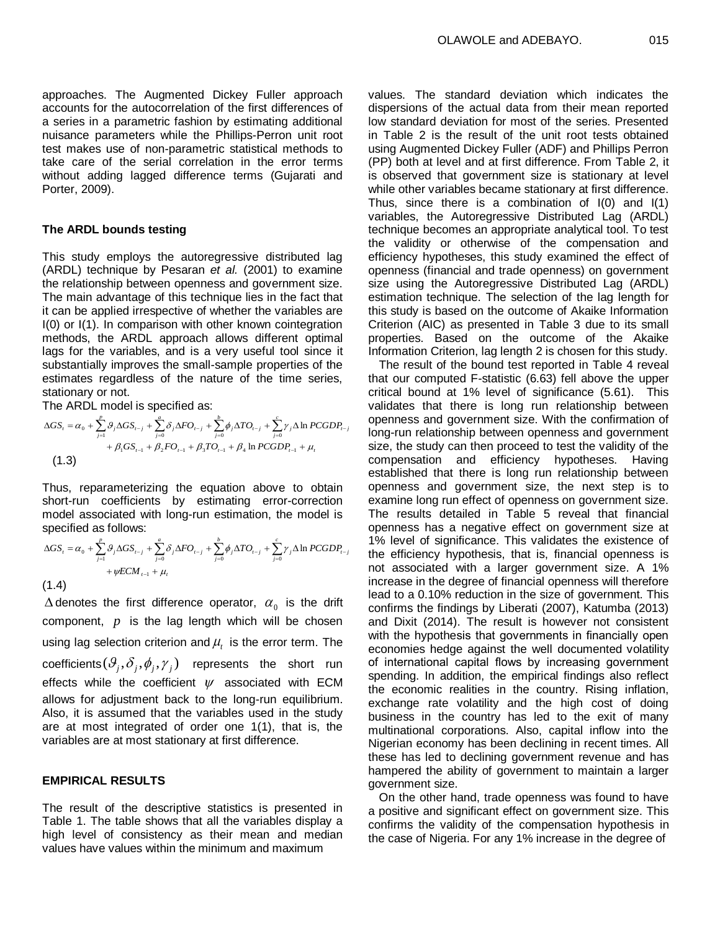approaches. The Augmented Dickey Fuller approach accounts for the autocorrelation of the first differences of a series in a parametric fashion by estimating additional nuisance parameters while the Phillips-Perron unit root test makes use of non-parametric statistical methods to take care of the serial correlation in the error terms without adding lagged difference terms (Gujarati and Porter, 2009).

#### **The ARDL bounds testing**

This study employs the autoregressive distributed lag (ARDL) technique by Pesaran *et al.* (2001) to examine the relationship between openness and government size. The main advantage of this technique lies in the fact that it can be applied irrespective of whether the variables are I(0) or I(1). In comparison with other known cointegration methods, the ARDL approach allows different optimal lags for the variables, and is a very useful tool since it substantially improves the small-sample properties of the estimates regardless of the nature of the time series, stationary or not.

The ARDL model is specified as:

$$
\Delta GS_{t} = \alpha_{0} + \sum_{j=1}^{p} \mathcal{G}_{j} \Delta GS_{t-j} + \sum_{j=0}^{a} \delta_{j} \Delta FO_{t-j} + \sum_{j=0}^{b} \phi_{j} \Delta TO_{t-j} + \sum_{j=0}^{c} \gamma_{j} \Delta \ln PCGDP_{t-j} + \beta_{1} GS_{t-1} + \beta_{2} FO_{t-1} + \beta_{3} TO_{t-1} + \beta_{4} \ln PCGDP_{t-1} + \mu_{t}
$$
\n(1.3)

Thus, reparameterizing the equation above to obtain short-run coefficients by estimating error-correction model associated with long-run estimation, the model is specified as follows:

$$
\Delta GS_{t} = \alpha_{0} + \sum_{j=1}^{p} \mathcal{G}_{j} \Delta GS_{t-j} + \sum_{j=0}^{a} \delta_{j} \Delta FO_{t-j} + \sum_{j=0}^{b} \phi_{j} \Delta TO_{t-j} + \sum_{j=0}^{c} \gamma_{j} \Delta \ln PCGDP_{t-j} + \psi ECM_{t-1} + \mu_{t}
$$
\n(1.4)

 $\Delta$  denotes the first difference operator,  $\alpha_{_0}$  is the drift component,  $p$  is the lag length which will be chosen using lag selection criterion and  $\mu_{_t}$  is the error term. The  ${\sf coefficients}(\partial_j,\delta_j,\phi_j,\gamma_j)$  represents the short run effects while the coefficient  $\psi$  associated with ECM allows for adjustment back to the long-run equilibrium. Also, it is assumed that the variables used in the study are at most integrated of order one 1(1), that is, the variables are at most stationary at first difference.

## **EMPIRICAL RESULTS**

The result of the descriptive statistics is presented in Table 1. The table shows that all the variables display a high level of consistency as their mean and median values have values within the minimum and maximum

values. The standard deviation which indicates the dispersions of the actual data from their mean reported low standard deviation for most of the series. Presented in Table 2 is the result of the unit root tests obtained using Augmented Dickey Fuller (ADF) and Phillips Perron (PP) both at level and at first difference. From Table 2, it is observed that government size is stationary at level while other variables became stationary at first difference. Thus, since there is a combination of I(0) and I(1) variables, the Autoregressive Distributed Lag (ARDL) technique becomes an appropriate analytical tool. To test the validity or otherwise of the compensation and efficiency hypotheses, this study examined the effect of openness (financial and trade openness) on government size using the Autoregressive Distributed Lag (ARDL) estimation technique. The selection of the lag length for this study is based on the outcome of Akaike Information Criterion (AIC) as presented in Table 3 due to its small properties. Based on the outcome of the Akaike Information Criterion, lag length 2 is chosen for this study.

The result of the bound test reported in Table 4 reveal that our computed F-statistic (6.63) fell above the upper critical bound at 1% level of significance (5.61). This validates that there is long run relationship between openness and government size. With the confirmation of long-run relationship between openness and government size, the study can then proceed to test the validity of the compensation and efficiency hypotheses. Having established that there is long run relationship between openness and government size, the next step is to examine long run effect of openness on government size. The results detailed in Table 5 reveal that financial openness has a negative effect on government size at 1% level of significance. This validates the existence of the efficiency hypothesis, that is, financial openness is not associated with a larger government size. A 1% increase in the degree of financial openness will therefore lead to a 0.10% reduction in the size of government. This confirms the findings by Liberati (2007), Katumba (2013) and Dixit (2014). The result is however not consistent with the hypothesis that governments in financially open economies hedge against the well documented volatility of international capital flows by increasing government spending. In addition, the empirical findings also reflect the economic realities in the country. Rising inflation, exchange rate volatility and the high cost of doing business in the country has led to the exit of many multinational corporations. Also, capital inflow into the Nigerian economy has been declining in recent times. All these has led to declining government revenue and has hampered the ability of government to maintain a larger government size.

On the other hand, trade openness was found to have a positive and significant effect on government size. This confirms the validity of the compensation hypothesis in the case of Nigeria. For any 1% increase in the degree of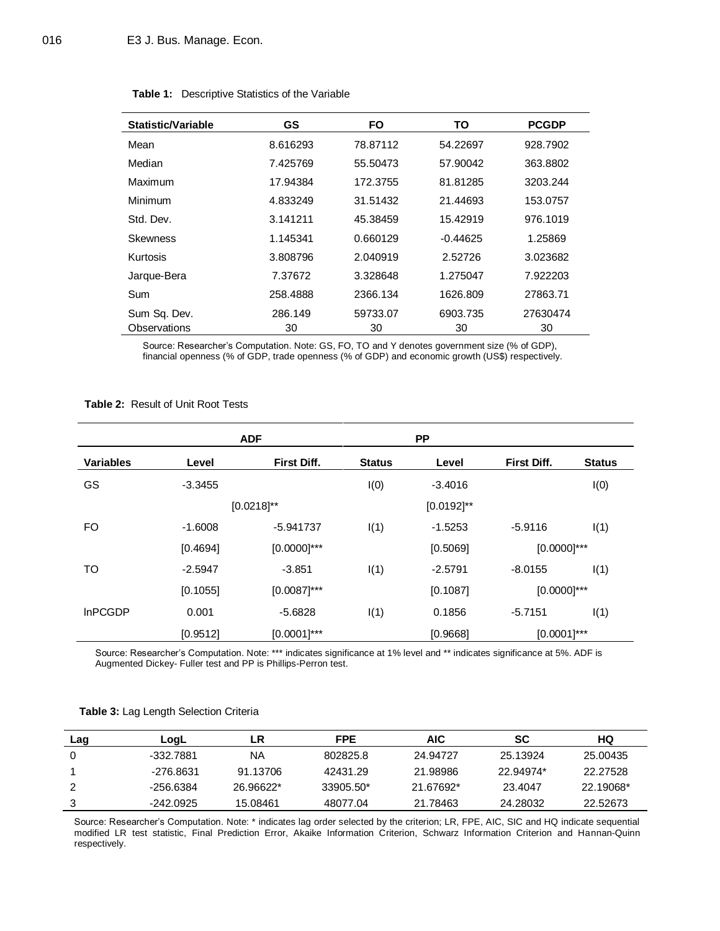| Statistic/Variable | <b>GS</b> | <b>FO</b> | ΤО         | <b>PCGDP</b> |
|--------------------|-----------|-----------|------------|--------------|
| Mean               | 8.616293  | 78.87112  | 54.22697   | 928.7902     |
| Median             | 7.425769  | 55.50473  | 57.90042   | 363,8802     |
| Maximum            | 17.94384  | 172.3755  | 81.81285   | 3203.244     |
| Minimum            | 4.833249  | 31.51432  | 21.44693   | 153.0757     |
| Std. Dev.          | 3.141211  | 45.38459  | 15.42919   | 976.1019     |
| <b>Skewness</b>    | 1.145341  | 0.660129  | $-0.44625$ | 1.25869      |
| Kurtosis           | 3.808796  | 2.040919  | 2.52726    | 3.023682     |
| Jarque-Bera        | 7.37672   | 3.328648  | 1.275047   | 7.922203     |
| Sum                | 258.4888  | 2366.134  | 1626.809   | 27863.71     |
| Sum Sq. Dev.       | 286.149   | 59733.07  | 6903.735   | 27630474     |
| Observations       | 30        | 30        | 30         | 30           |

## **Table 1:** Descriptive Statistics of the Variable

Source: Researcher's Computation. Note: GS, FO, TO and Y denotes government size (% of GDP), financial openness (% of GDP, trade openness (% of GDP) and economic growth (US\$) respectively.

## **Table 2:** Result of Unit Root Tests

|                  |           | <b>ADF</b>      |               | <b>PP</b>       |                    |               |
|------------------|-----------|-----------------|---------------|-----------------|--------------------|---------------|
| <b>Variables</b> | Level     | First Diff.     | <b>Status</b> | Level           | <b>First Diff.</b> | <b>Status</b> |
| GS               | $-3.3455$ |                 | I(0)          | $-3.4016$       |                    | I(0)          |
|                  |           | $[0.0218]^{**}$ |               | $[0.0192]^{**}$ |                    |               |
| FO.              | $-1.6008$ | -5.941737       | I(1)          | $-1.5253$       | $-5.9116$          | I(1)          |
|                  | [0.4694]  | $[0.0000]$ ***  |               | [0.5069]        | $[0.0000]$ ***     |               |
| TO               | $-2.5947$ | $-3.851$        | I(1)          | $-2.5791$       | $-8.0155$          | I(1)          |
|                  | [0.1055]  | $[0.0087]$ ***  |               | [0.1087]        | $[0.0000]^{***}$   |               |
| <b>InPCGDP</b>   | 0.001     | $-5.6828$       | I(1)          | 0.1856          | $-5.7151$          | I(1)          |
|                  | [0.9512]  | $[0.0001]$ ***  |               | [0.9668]        | $[0.0001]$ ***     |               |

Source: Researcher's Computation. Note: \*\*\* indicates significance at 1% level and \*\* indicates significance at 5%. ADF is Augmented Dickey- Fuller test and PP is Phillips-Perron test.

|  | Table 3: Lag Length Selection Criteria |  |  |
|--|----------------------------------------|--|--|
|--|----------------------------------------|--|--|

| Lag | LogL      | LR        | <b>FPE</b> | AIC       | SC        | HQ        |
|-----|-----------|-----------|------------|-----------|-----------|-----------|
|     | -332.7881 | NA        | 802825.8   | 24.94727  | 25.13924  | 25.00435  |
|     | -276.8631 | 91.13706  | 42431.29   | 21.98986  | 22.94974* | 22.27528  |
|     | -256.6384 | 26.96622* | 33905.50*  | 21.67692* | 23.4047   | 22.19068* |
|     | -242.0925 | 15.08461  | 48077.04   | 21.78463  | 24.28032  | 22.52673  |

Source: Researcher's Computation. Note: \* indicates lag order selected by the criterion; LR, FPE, AIC, SIC and HQ indicate sequential modified LR test statistic, Final Prediction Error, Akaike Information Criterion, Schwarz Information Criterion and Hannan-Quinn respectively.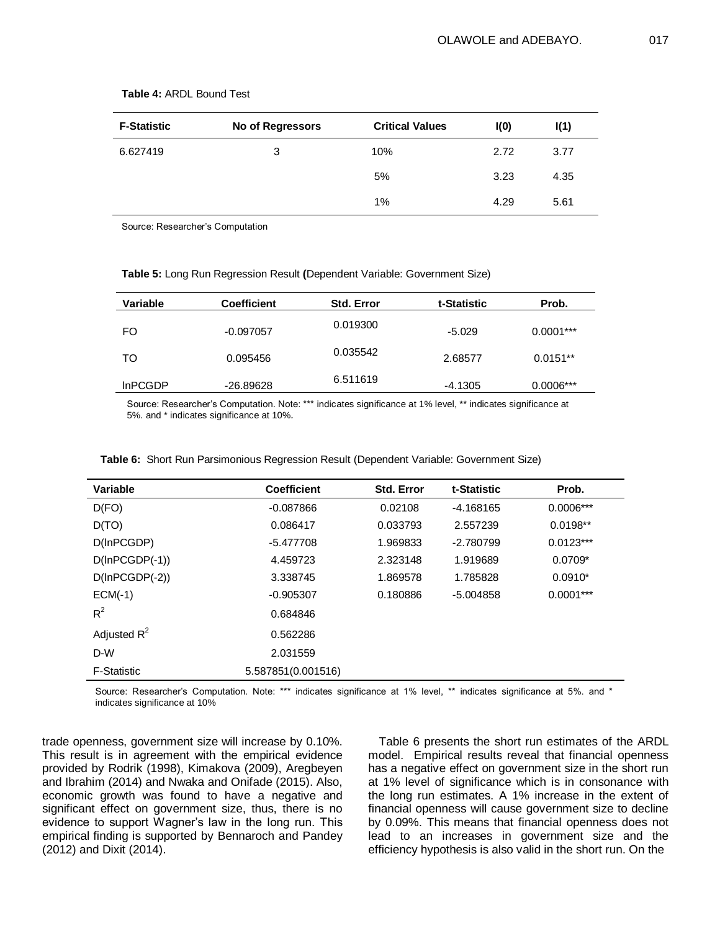| <b>F-Statistic</b> | No of Regressors | <b>Critical Values</b> | I(0) | I(1) |
|--------------------|------------------|------------------------|------|------|
| 6.627419           | 3                | 10%                    | 2.72 | 3.77 |
|                    |                  | 5%                     | 3.23 | 4.35 |
|                    |                  | $1\%$                  | 4.29 | 5.61 |

#### **Table 4:** ARDL Bound Test

Source: Researcher's Computation

| Variable       | <b>Coefficient</b> | <b>Std. Error</b> | t-Statistic | Prob.       |
|----------------|--------------------|-------------------|-------------|-------------|
| FO             | $-0.097057$        | 0.019300          | $-5.029$    | $0.0001***$ |
| TO             | 0.095456           | 0.035542          | 2.68577     | $0.0151**$  |
| <b>InPCGDP</b> | -26.89628          | 6.511619          | $-4.1305$   | $0.0006***$ |

**Table 5:** Long Run Regression Result **(**Dependent Variable: Government Size)

Source: Researcher's Computation. Note: \*\*\* indicates significance at 1% level, \*\* indicates significance at 5%. and \* indicates significance at 10%*.*

| Variable           | <b>Coefficient</b> | <b>Std. Error</b> | t-Statistic | Prob.       |
|--------------------|--------------------|-------------------|-------------|-------------|
| D(FO)              | $-0.087866$        | 0.02108           | $-4.168165$ | $0.0006***$ |
| D(TO)              | 0.086417           | 0.033793          | 2.557239    | $0.0198**$  |
| D(InPCGDP)         | $-5.477708$        | 1.969833          | $-2.780799$ | $0.0123***$ |
| $D(lnPCGDP(-1))$   | 4.459723           | 2.323148          | 1.919689    | $0.0709*$   |
| $D(lnPCGDP(-2))$   | 3.338745           | 1.869578          | 1.785828    | $0.0910*$   |
| $ECM(-1)$          | $-0.905307$        | 0.180886          | $-5.004858$ | $0.0001***$ |
| $R^2$              | 0.684846           |                   |             |             |
| Adjusted $R^2$     | 0.562286           |                   |             |             |
| D-W                | 2.031559           |                   |             |             |
| <b>F-Statistic</b> | 5.587851(0.001516) |                   |             |             |

**Table 6:** Short Run Parsimonious Regression Result (Dependent Variable: Government Size)

Source: Researcher's Computation. Note: \*\*\* indicates significance at 1% level, \*\* indicates significance at 5%. and \* indicates significance at 10%

trade openness, government size will increase by 0.10%. This result is in agreement with the empirical evidence provided by Rodrik (1998), Kimakova (2009), Aregbeyen and Ibrahim (2014) and Nwaka and Onifade (2015). Also, economic growth was found to have a negative and significant effect on government size, thus, there is no evidence to support Wagner's law in the long run. This empirical finding is supported by Bennaroch and Pandey (2012) and Dixit (2014).

Table 6 presents the short run estimates of the ARDL model. Empirical results reveal that financial openness has a negative effect on government size in the short run at 1% level of significance which is in consonance with the long run estimates. A 1% increase in the extent of financial openness will cause government size to decline by 0.09%. This means that financial openness does not lead to an increases in government size and the efficiency hypothesis is also valid in the short run. On the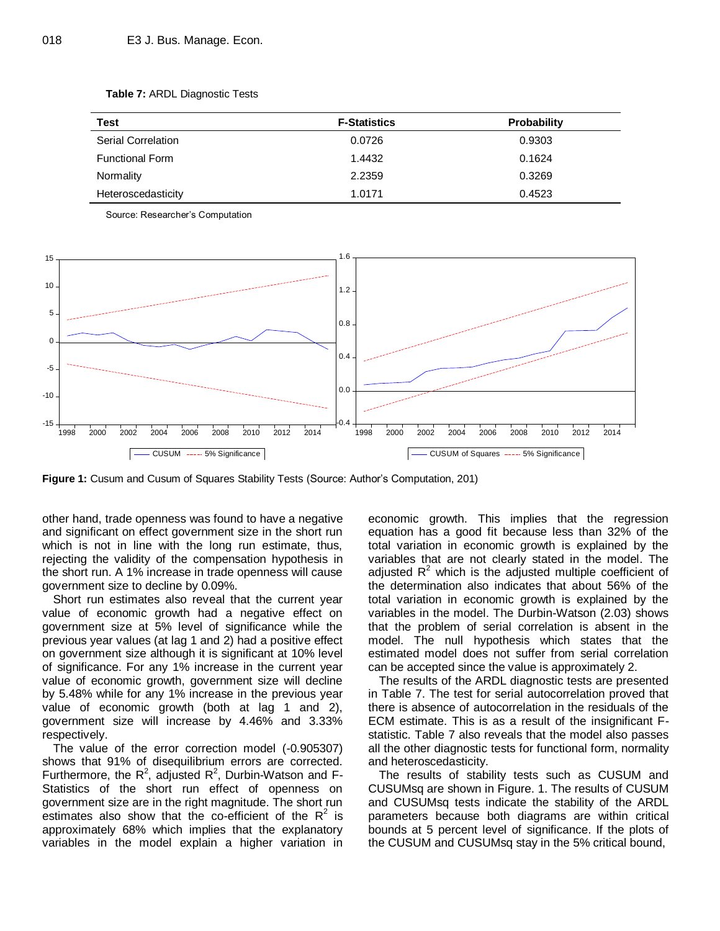| Test                      | <b>F-Statistics</b> | <b>Probability</b> |
|---------------------------|---------------------|--------------------|
| <b>Serial Correlation</b> | 0.0726              | 0.9303             |
| <b>Functional Form</b>    | 1.4432              | 0.1624             |
| Normality                 | 2.2359              | 0.3269             |
| Heteroscedasticity        | 1.0171              | 0.4523             |

**Table 7:** ARDL Diagnostic Tests

Source: Researcher's Computation



**Figure 1:** Cusum and Cusum of Squares Stability Tests (Source: Author's Computation, 201)

other hand, trade openness was found to have a negative and significant on effect government size in the short run which is not in line with the long run estimate, thus, rejecting the validity of the compensation hypothesis in the short run. A 1% increase in trade openness will cause government size to decline by 0.09%.

Short run estimates also reveal that the current year value of economic growth had a negative effect on government size at 5% level of significance while the previous year values (at lag 1 and 2) had a positive effect on government size although it is significant at 10% level of significance. For any 1% increase in the current year value of economic growth, government size will decline by 5.48% while for any 1% increase in the previous year value of economic growth (both at lag 1 and 2), government size will increase by 4.46% and 3.33% respectively.

The value of the error correction model (-0.905307) shows that 91% of disequilibrium errors are corrected. Furthermore, the  $R^2$ , adjusted  $R^2$ , Durbin-Watson and F-Statistics of the short run effect of openness on government size are in the right magnitude. The short run estimates also show that the co-efficient of the  $R^2$  is approximately 68% which implies that the explanatory variables in the model explain a higher variation in

economic growth. This implies that the regression equation has a good fit because less than 32% of the total variation in economic growth is explained by the variables that are not clearly stated in the model. The adjusted  $R^2$  which is the adjusted multiple coefficient of the determination also indicates that about 56% of the total variation in economic growth is explained by the variables in the model. The Durbin-Watson (2.03) shows that the problem of serial correlation is absent in the model. The null hypothesis which states that the estimated model does not suffer from serial correlation can be accepted since the value is approximately 2.

The results of the ARDL diagnostic tests are presented in Table 7. The test for serial autocorrelation proved that there is absence of autocorrelation in the residuals of the ECM estimate. This is as a result of the insignificant Fstatistic. Table 7 also reveals that the model also passes all the other diagnostic tests for functional form, normality and heteroscedasticity.

The results of stability tests such as CUSUM and CUSUMsq are shown in Figure. 1. The results of CUSUM and CUSUMsq tests indicate the stability of the ARDL parameters because both diagrams are within critical bounds at 5 percent level of significance. If the plots of the CUSUM and CUSUMsq stay in the 5% critical bound,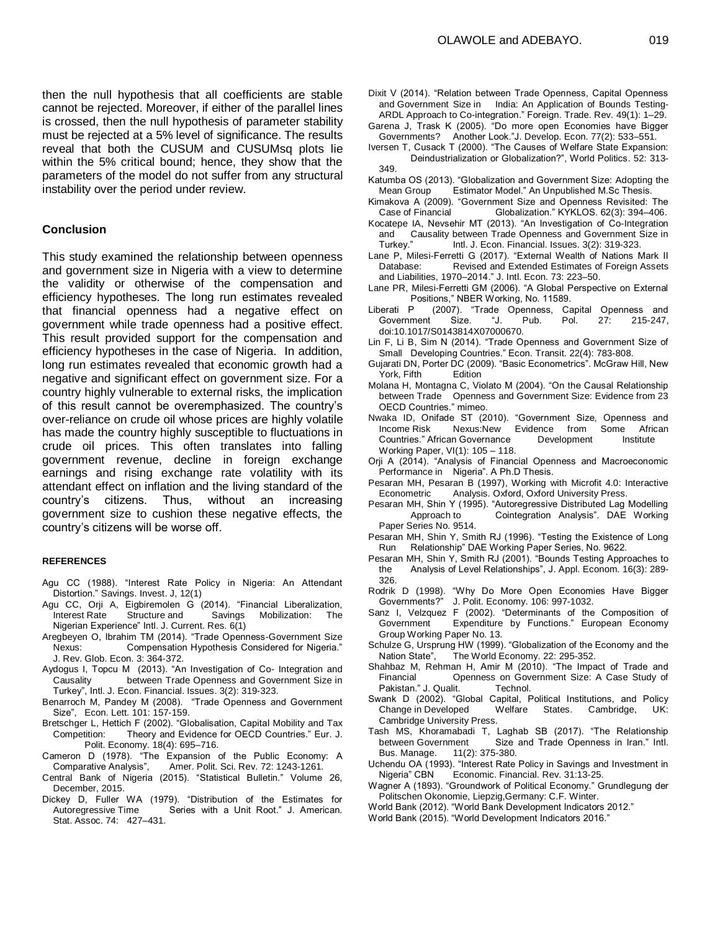then the null hypothesis that all coefficients are stable cannot be rejected. Moreover, if either of the parallel lines is crossed, then the null hypothesis of parameter stability must be rejected at a 5% level of significance. The results reveal that both the CUSUM and CUSUMsq plots lie within the 5% critical bound; hence, they show that the parameters of the model do not suffer from any structural instability over the period under review.

#### **Conclusion**

This study examined the relationship between openness and government size in Nigeria with a view to determine the validity or otherwise of the compensation and efficiency hypotheses. The long run estimates revealed that financial openness had a negative effect on government while trade openness had a positive effect. This result provided support for the compensation and efficiency hypotheses in the case of Nigeria. In addition, long run estimates revealed that economic growth had a negative and significant effect on government size. For a country highly vulnerable to external risks, the implication of this result cannot be overemphasized. The country's over-reliance on crude oil whose prices are highly volatile has made the country highly susceptible to fluctuations in crude oil prices. This often translates into falling government revenue, decline in foreign exchange earnings and rising exchange rate volatility with its attendant effect on inflation and the living standard of the country's citizens. Thus, without an increasing government size to cushion these negative effects, the country's citizens will be worse off.

#### **REFERENCES**

- Agu CC (1988). "Interest Rate Policy in Nigeria: An Attendant Distortion." Savings. Invest. J, 12(1)
- Agu CC, Orji A, Eigbiremolen G (2014). "Financial Liberalization, Interest Rate Structure and Savings Mobilization: The Nigerian Experience" Intl. J. Current. Res. 6(1)
- Aregbeyen O, Ibrahim TM (2014). "Trade Openness-Government Size Nexus: Compensation Hypothesis Considered for Nigeria." J. Rev. Glob. Econ. 3: 364-372.
- Aydogus I, Topcu M (2013). "An Investigation of Co- Integration and Causality between Trade Openness and Government Size in Turkey", Intl. J. Econ. Financial. Issues. 3(2): 319-323.
- Benarroch M, Pandey M (2008). "Trade Openness and Government Size", Econ. Lett. 101: 157-159.
- Bretschger L, Hettich F (2002). "Globalisation, Capital Mobility and Tax Competition: Theory and Evidence for OECD Countries." Eur. J. Polit. Economy. 18(4): 695–716.
- Cameron D (1978). "The Expansion of the Public Economy: A Comparative Analysis", Amer. Polit. Sci. Rev. 72: 1243-1261. Amer. Polit. Sci. Rev. 72: 1243-1261.
- Central Bank of Nigeria (2015). "Statistical Bulletin." Volume 26, December, 2015.
- Dickey D, Fuller WA (1979). "Distribution of the Estimates for<br>Autoregressive Time Series with a Unit Root." J. American. Series with a Unit Root." J. American. Stat. Assoc. 74: 427–431.
- Dixit V (2014). "Relation between Trade Openness, Capital Openness and Government Size in India: An Application of Bounds Testing-ARDL Approach to Co-integration." Foreign. Trade. Rev. 49(1): 1–29.
- Garena J, Trask K (2005). "Do more open Economies have Bigger Governments? Another Look."J. Develop. Econ. 77(2): 533–551.
- Iversen T, Cusack T (2000). "The Causes of Welfare State Expansion: Deindustrialization or Globalization?", World Politics. 52: 313- 349.
- Katumba OS (2013). "Globalization and Government Size: Adopting the Mean Group Estimator Model." An Unpublished M.Sc Thesis.
- Kimakova A (2009). "Government Size and Openness Revisited: The Globalization." KYKLOS. 62(3): 394-406.
- Kocatepe IA, Nevsehir MT (2013). "An Investigation of Co-Integration and Causality between Trade Openness and Government Size in<br>Turkey." Intl. J. Econ. Financial. Issues. 3(2): 319-323. Intl. J. Econ. Financial. Issues. 3(2): 319-323.
- Lane P, Milesi-Ferretti G (2017). "External Wealth of Nations Mark II Database: Revised and Extended Estimates of Foreign Assets and Liabilities, 1970–2014." J. Intl. Econ. 73: 223–50.
- Lane PR, Milesi-Ferretti GM (2006). "A Global Perspective on External Positions," NBER Working, No. 11589.
- Liberati P (2007). "Trade Openness, Capital Openness and Government Size. "J. Pub. Pol. 27: 215-247, doi:10.1017/S0143814X07000670.
- Lin F, Li B, Sim N (2014). "Trade Openness and Government Size of Small Developing Countries." Econ. Transit. 22(4): 783-808.
- Gujarati DN, Porter DC (2009). "Basic Econometrics". McGraw Hill. New York, Fifth Edition
- Molana H, Montagna C, Violato M (2004). "On the Causal Relationship between Trade Openness and Government Size: Evidence from 23 OECD Countries." mimeo.
- Nwaka ID, Onifade ST (2010). "Government Size, Openness and Income Risk Nexus:New Evidence from Some African Countries." African Governance Development Institute Working Paper, VI(1): 105 – 118.
- Orji A (2014). "Analysis of Financial Openness and Macroeconomic Performance in Nigeria". A Ph.D Thesis.
- Pesaran MH, Pesaran B (1997), Working with Microfit 4.0: Interactive Econometric Analysis. Oxford, Oxford University Press.
- Pesaran MH, Shin Y (1995). "Autoregressive Distributed Lag Modelling Approach to Cointegration Analysis". DAE Working Paper Series No. 9514.
- Pesaran MH, Shin Y, Smith RJ (1996). "Testing the Existence of Long Run Relationship" DAE Working Paper Series, No. 9622.
- Pesaran MH, Shin Y, Smith RJ (2001). "Bounds Testing Approaches to the Analysis of Level Relationships", J. Appl. Econom. 16(3): 289- 326.
- Rodrik D (1998). "Why Do More Open Economies Have Bigger Governments?" J. Polit. Economy. 106: 997-1032.
- Sanz I, Velzquez F (2002). "Determinants of the Composition of Government Expenditure by Functions." European Economy Group Working Paper No. 13.
- Schulze G, Ursprung HW (1999). "Globalization of the Economy and the Nation State", The World Economy. 22: 295-352.
- Shahbaz M, Rehman H, Amir M (2010). "The Impact of Trade and Financial Openness on Government Size: A Case Study of Pakistan." J. Qualit. Technol.
- Swank D (2002). "Global Capital, Political Institutions, and Policy Change in Developed Welfare States. Cambridge, UK: Cambridge University Press.
- Tash MS, Khoramabadi T, Laghab SB (2017). "The Relationship Size and Trade Openness in Iran." Intl. Bus. Manage. 11(2): 375-380.
- Uchendu OA (1993). "Interest Rate Policy in Savings and Investment in Nigeria" CBN Economic. Financial. Rev. 31:13-25.
- Wagner A (1893). "Groundwork of Political Economy." Grundlegung der Politschen Okonomie, Liepzig,Germany: C.F. Winter.
- World Bank (2012). "World Bank Development Indicators 2012."
- World Bank (2015). "World Development Indicators 2016."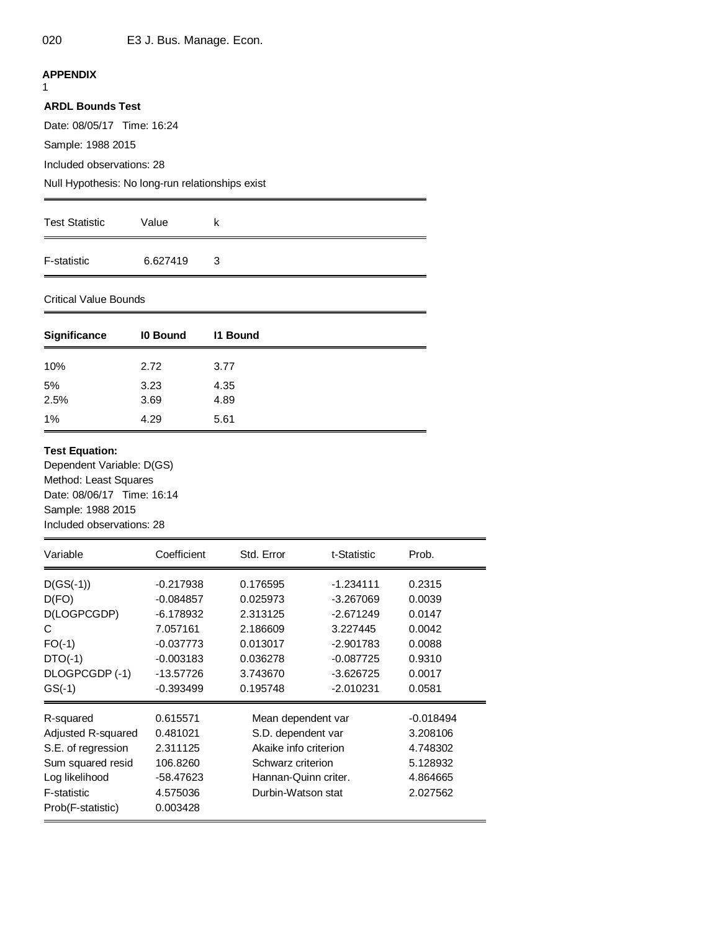# **APPENDIX**

1

# **ARDL Bounds Test**

Date: 08/05/17 Time: 16:24

Sample: 1988 2015

Included observations: 28

Null Hypothesis: No long-run relationships exist

| <b>Test Statistic</b> | Value    | ĸ |
|-----------------------|----------|---|
| F-statistic           | 6.627419 | 3 |

# Critical Value Bounds

| <b>Significance</b> | 10 Bound     | <b>11 Bound</b> |
|---------------------|--------------|-----------------|
| 10%                 | 2.72         | 3.77            |
| 5%<br>2.5%          | 3.23<br>3.69 | 4.35<br>4.89    |
| 1%                  | 4.29         | 5.61            |

## **Test Equation:**

Dependent Variable: D(GS) Method: Least Squares Date: 08/06/17 Time: 16:14 Sample: 1988 2015 Included observations: 28

| Variable           | Coefficient | Std. Error            | t-Statistic | Prob.       |
|--------------------|-------------|-----------------------|-------------|-------------|
| $D(GS(-1))$        | $-0.217938$ | 0.176595              | $-1.234111$ | 0.2315      |
| D(FO)              | $-0.084857$ | 0.025973              | -3.267069   | 0.0039      |
| D(LOGPCGDP)        | $-6.178932$ | 2.313125              | $-2.671249$ | 0.0147      |
| C                  | 7.057161    | 2.186609              | 3.227445    | 0.0042      |
| $FO(-1)$           | $-0.037773$ | 0.013017              | $-2.901783$ | 0.0088      |
| $DTO(-1)$          | $-0.003183$ | 0.036278              | $-0.087725$ | 0.9310      |
| DLOGPCGDP (-1)     | $-13.57726$ | 3.743670              | -3.626725   | 0.0017      |
| $GS(-1)$           | $-0.393499$ | 0.195748              | $-2.010231$ | 0.0581      |
| R-squared          | 0.615571    | Mean dependent var    |             | $-0.018494$ |
| Adjusted R-squared | 0.481021    | S.D. dependent var    |             | 3.208106    |
| S.E. of regression | 2.311125    | Akaike info criterion |             | 4.748302    |
| Sum squared resid  | 106.8260    | Schwarz criterion     |             | 5.128932    |
| Log likelihood     | -58.47623   | Hannan-Quinn criter.  |             | 4.864665    |
| F-statistic        | 4.575036    | Durbin-Watson stat    |             | 2.027562    |
| Prob(F-statistic)  | 0.003428    |                       |             |             |